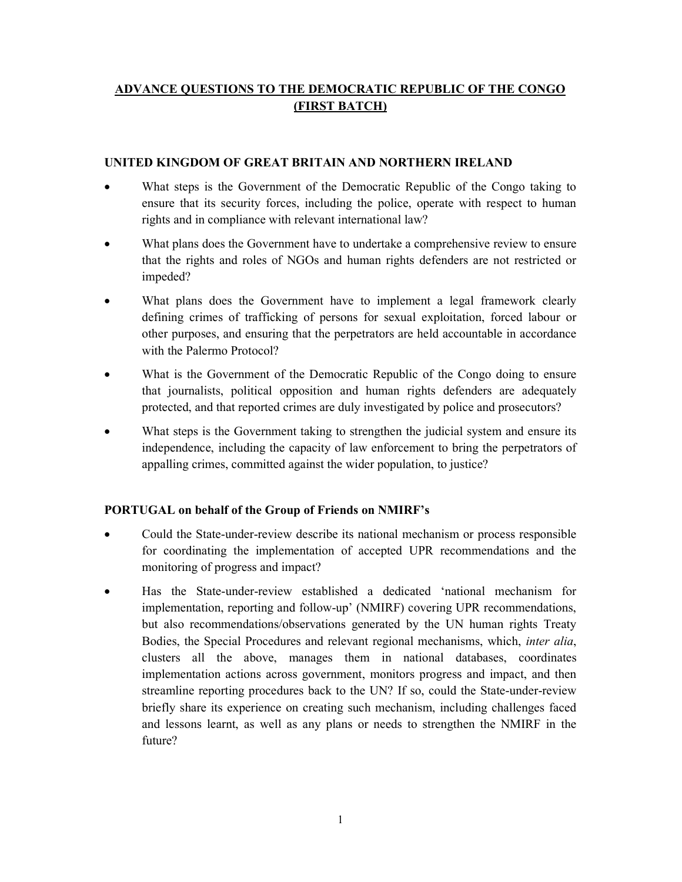# ADVANCE QUESTIONS TO THE DEMOCRATIC REPUBLIC OF THE CONGO (FIRST BATCH)

#### UNITED KINGDOM OF GREAT BRITAIN AND NORTHERN IRELAND

- What steps is the Government of the Democratic Republic of the Congo taking to ensure that its security forces, including the police, operate with respect to human rights and in compliance with relevant international law?
- What plans does the Government have to undertake a comprehensive review to ensure that the rights and roles of NGOs and human rights defenders are not restricted or impeded?
- What plans does the Government have to implement a legal framework clearly defining crimes of trafficking of persons for sexual exploitation, forced labour or other purposes, and ensuring that the perpetrators are held accountable in accordance with the Palermo Protocol?
- What is the Government of the Democratic Republic of the Congo doing to ensure that journalists, political opposition and human rights defenders are adequately protected, and that reported crimes are duly investigated by police and prosecutors?
- What steps is the Government taking to strengthen the judicial system and ensure its independence, including the capacity of law enforcement to bring the perpetrators of appalling crimes, committed against the wider population, to justice?

#### PORTUGAL on behalf of the Group of Friends on NMIRF's

- Could the State-under-review describe its national mechanism or process responsible for coordinating the implementation of accepted UPR recommendations and the monitoring of progress and impact?
- Has the State-under-review established a dedicated 'national mechanism for implementation, reporting and follow-up' (NMIRF) covering UPR recommendations, but also recommendations/observations generated by the UN human rights Treaty Bodies, the Special Procedures and relevant regional mechanisms, which, inter alia, clusters all the above, manages them in national databases, coordinates implementation actions across government, monitors progress and impact, and then streamline reporting procedures back to the UN? If so, could the State-under-review briefly share its experience on creating such mechanism, including challenges faced and lessons learnt, as well as any plans or needs to strengthen the NMIRF in the future?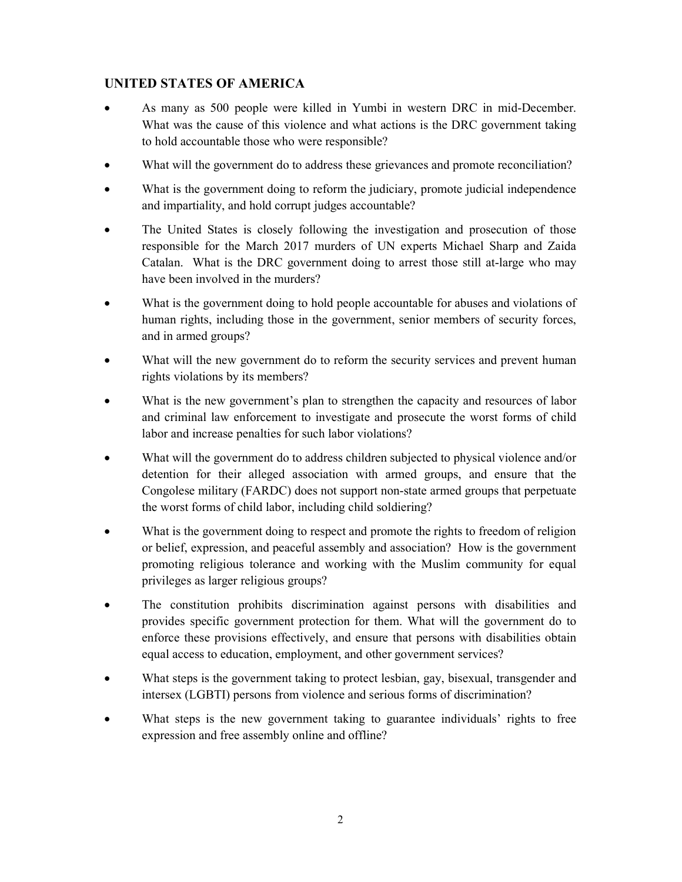# UNITED STATES OF AMERICA

- As many as 500 people were killed in Yumbi in western DRC in mid-December. What was the cause of this violence and what actions is the DRC government taking to hold accountable those who were responsible?
- What will the government do to address these grievances and promote reconciliation?
- What is the government doing to reform the judiciary, promote judicial independence and impartiality, and hold corrupt judges accountable?
- The United States is closely following the investigation and prosecution of those responsible for the March 2017 murders of UN experts Michael Sharp and Zaida Catalan. What is the DRC government doing to arrest those still at-large who may have been involved in the murders?
- What is the government doing to hold people accountable for abuses and violations of human rights, including those in the government, senior members of security forces, and in armed groups?
- What will the new government do to reform the security services and prevent human rights violations by its members?
- What is the new government's plan to strengthen the capacity and resources of labor and criminal law enforcement to investigate and prosecute the worst forms of child labor and increase penalties for such labor violations?
- What will the government do to address children subjected to physical violence and/or detention for their alleged association with armed groups, and ensure that the Congolese military (FARDC) does not support non-state armed groups that perpetuate the worst forms of child labor, including child soldiering?
- What is the government doing to respect and promote the rights to freedom of religion or belief, expression, and peaceful assembly and association? How is the government promoting religious tolerance and working with the Muslim community for equal privileges as larger religious groups?
- The constitution prohibits discrimination against persons with disabilities and provides specific government protection for them. What will the government do to enforce these provisions effectively, and ensure that persons with disabilities obtain equal access to education, employment, and other government services?
- What steps is the government taking to protect lesbian, gay, bisexual, transgender and intersex (LGBTI) persons from violence and serious forms of discrimination?
- What steps is the new government taking to guarantee individuals' rights to free expression and free assembly online and offline?